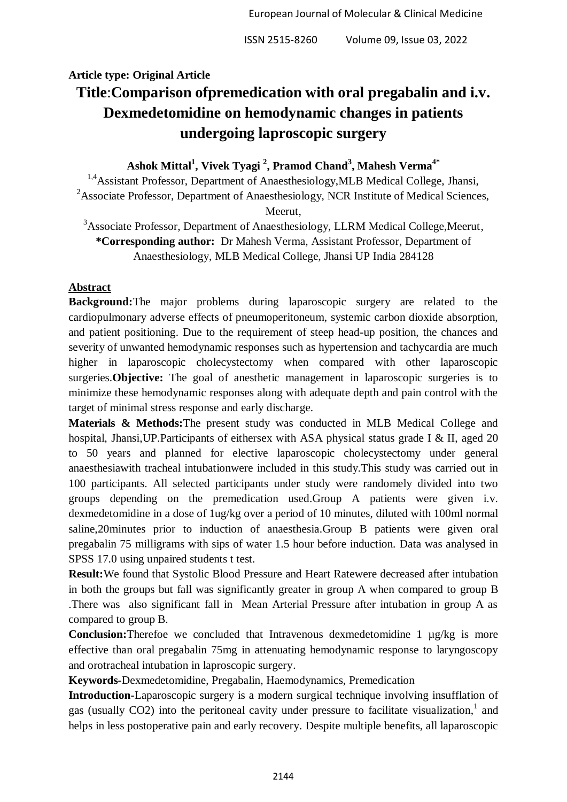# **Article type: Original Article**

# **Title**:**Comparison ofpremedication with oral pregabalin and i.v. Dexmedetomidine on hemodynamic changes in patients undergoing laproscopic surgery**

**Ashok Mittal<sup>1</sup> , Vivek Tyagi <sup>2</sup> , Pramod Chand<sup>3</sup> , Mahesh Verma4\***

<sup>1,4</sup>Assistant Professor, Department of Anaesthesiology, MLB Medical College, Jhansi, <sup>2</sup>Associate Professor, Department of Anaesthesiology, NCR Institute of Medical Sciences, Meerut,

<sup>3</sup>Associate Professor, Department of Anaesthesiology, LLRM Medical College, Meerut, **\*Corresponding author:** Dr Mahesh Verma, Assistant Professor, Department of Anaesthesiology, MLB Medical College, Jhansi UP India 284128

## **Abstract**

**Background:**The major problems during laparoscopic surgery are related to the cardiopulmonary adverse effects of pneumoperitoneum, systemic carbon dioxide absorption, and patient positioning. Due to the requirement of steep head-up position, the chances and severity of unwanted hemodynamic responses such as hypertension and tachycardia are much higher in laparoscopic cholecystectomy when compared with other laparoscopic surgeries.**Objective:** The goal of anesthetic management in laparoscopic surgeries is to minimize these hemodynamic responses along with adequate depth and pain control with the target of minimal stress response and early discharge.

**Materials & Methods:**The present study was conducted in MLB Medical College and hospital, Jhansi, UP. Participants of eithersex with ASA physical status grade I & II, aged 20 to 50 years and planned for elective laparoscopic cholecystectomy under general anaesthesiawith tracheal intubationwere included in this study.This study was carried out in 100 participants. All selected participants under study were randomely divided into two groups depending on the premedication used.Group A patients were given i.v. dexmedetomidine in a dose of 1ug/kg over a period of 10 minutes, diluted with 100ml normal saline,20minutes prior to induction of anaesthesia.Group B patients were given oral pregabalin 75 milligrams with sips of water 1.5 hour before induction. Data was analysed in SPSS 17.0 using unpaired students t test.

**Result:**We found that Systolic Blood Pressure and Heart Ratewere decreased after intubation in both the groups but fall was significantly greater in group A when compared to group B .There was also significant fall in Mean Arterial Pressure after intubation in group A as compared to group B.

**Conclusion:**Therefoe we concluded that Intravenous dexmedetomidine 1 µg/kg is more effective than oral pregabalin 75mg in attenuating hemodynamic response to laryngoscopy and orotracheal intubation in laproscopic surgery.

**Keywords-**Dexmedetomidine, Pregabalin, Haemodynamics, Premedication

**Introduction-**Laparoscopic surgery is a modern surgical technique involving insufflation of gas (usually CO2) into the peritoneal cavity under pressure to facilitate visualization,<sup>1</sup> and helps in less postoperative pain and early recovery. Despite multiple benefits, all laparoscopic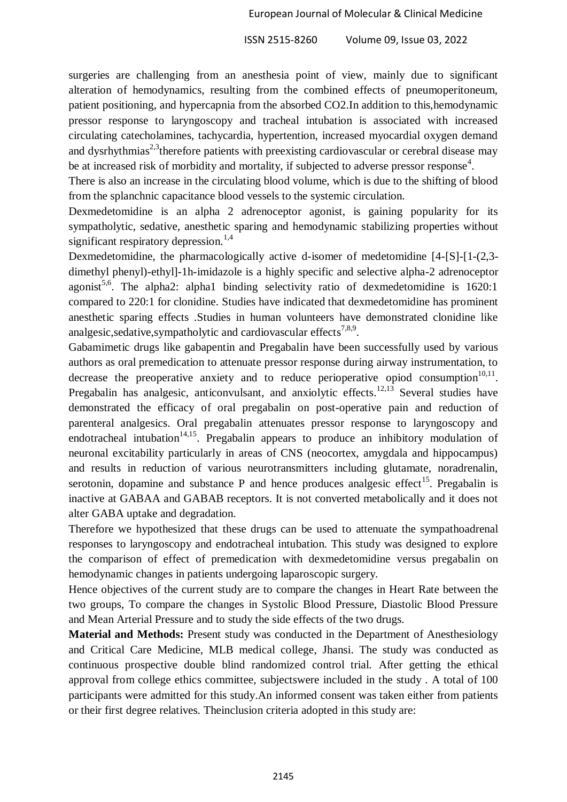surgeries are challenging from an anesthesia point of view, mainly due to significant alteration of hemodynamics, resulting from the combined effects of pneumoperitoneum, patient positioning, and hypercapnia from the absorbed CO2.In addition to this,hemodynamic pressor response to laryngoscopy and tracheal intubation is associated with increased circulating catecholamines, tachycardia, hypertention, increased myocardial oxygen demand and dysrhythmias<sup>2,3</sup> therefore patients with preexisting cardiovascular or cerebral disease may be at increased risk of morbidity and mortality, if subjected to adverse pressor response<sup>4</sup>.

There is also an increase in the circulating blood volume, which is due to the shifting of blood from the splanchnic capacitance blood vessels to the systemic circulation.

Dexmedetomidine is an alpha 2 adrenoceptor agonist, is gaining popularity for its sympatholytic, sedative, anesthetic sparing and hemodynamic stabilizing properties without significant respiratory depression.<sup>1,4</sup>

Dexmedetomidine, the pharmacologically active d-isomer of medetomidine [4-[S]-[1-(2,3 dimethyl phenyl)-ethyl]-1h-imidazole is a highly specific and selective alpha-2 adrenoceptor agonist<sup>5,6</sup>. The alpha2: alpha1 binding selectivity ratio of dexmedetomidine is  $1620:1$ compared to 220:1 for clonidine. Studies have indicated that dexmedetomidine has prominent anesthetic sparing effects .Studies in human volunteers have demonstrated clonidine like analgesic, sedative, sympatholytic and cardiovascular effects<sup>7,8,9</sup>.

Gabamimetic drugs like gabapentin and Pregabalin have been successfully used by various authors as oral premedication to attenuate pressor response during airway instrumentation, to decrease the preoperative anxiety and to reduce perioperative opiod consumption $10,11$ . Pregabalin has analgesic, anticonvulsant, and anxiolytic effects.<sup>12,13</sup> Several studies have demonstrated the efficacy of oral pregabalin on post-operative pain and reduction of parenteral analgesics. Oral pregabalin attenuates pressor response to laryngoscopy and endotracheal intubation<sup>14,15</sup>. Pregabalin appears to produce an inhibitory modulation of neuronal excitability particularly in areas of CNS (neocortex, amygdala and hippocampus) and results in reduction of various neurotransmitters including glutamate, noradrenalin, serotonin, dopamine and substance P and hence produces analgesic effect<sup>15</sup>. Pregabalin is inactive at GABAA and GABAB receptors. It is not converted metabolically and it does not alter GABA uptake and degradation.

Therefore we hypothesized that these drugs can be used to attenuate the sympathoadrenal responses to laryngoscopy and endotracheal intubation. This study was designed to explore the comparison of effect of premedication with dexmedetomidine versus pregabalin on hemodynamic changes in patients undergoing laparoscopic surgery.

Hence objectives of the current study are to compare the changes in Heart Rate between the two groups, To compare the changes in Systolic Blood Pressure, Diastolic Blood Pressure and Mean Arterial Pressure and to study the side effects of the two drugs.

**Material and Methods:** Present study was conducted in the Department of Anesthesiology and Critical Care Medicine, MLB medical college, Jhansi. The study was conducted as continuous prospective double blind randomized control trial. After getting the ethical approval from college ethics committee, subjectswere included in the study . A total of 100 participants were admitted for this study.An informed consent was taken either from patients or their first degree relatives. Theinclusion criteria adopted in this study are: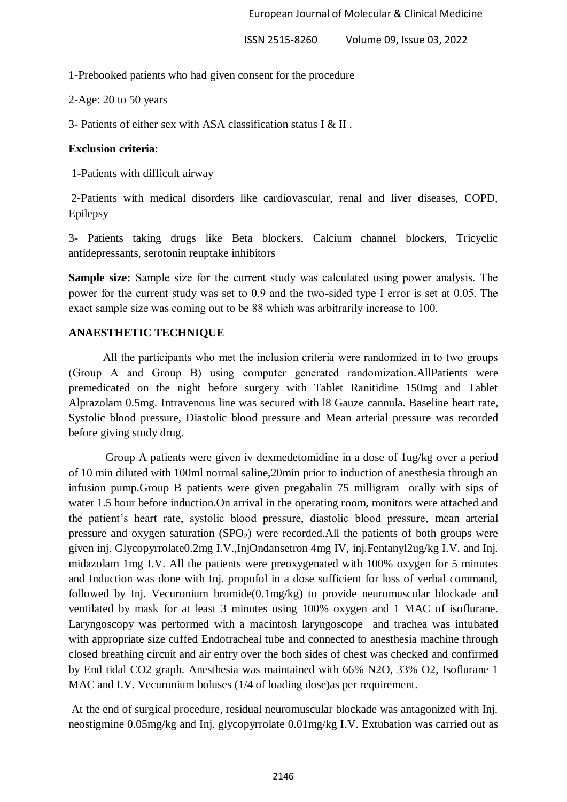1-Prebooked patients who had given consent for the procedure

2-Age: 20 to 50 years

3- Patients of either sex with ASA classification status I & II .

#### **Exclusion criteria**:

1-Patients with difficult airway

2-Patients with medical disorders like cardiovascular, renal and liver diseases, COPD, Epilepsy

3- Patients taking drugs like Beta blockers, Calcium channel blockers, Tricyclic antidepressants, serotonin reuptake inhibitors

**Sample size:** Sample size for the current study was calculated using power analysis. The power for the current study was set to 0.9 and the two-sided type I error is set at 0.05. The exact sample size was coming out to be 88 which was arbitrarily increase to 100.

## **ANAESTHETIC TECHNIQUE**

All the participants who met the inclusion criteria were randomized in to two groups (Group A and Group B) using computer generated randomization.AllPatients were premedicated on the night before surgery with Tablet Ranitidine 150mg and Tablet Alprazolam 0.5mg. Intravenous line was secured with l8 Gauze cannula. Baseline heart rate, Systolic blood pressure, Diastolic blood pressure and Mean arterial pressure was recorded before giving study drug.

Group A patients were given iv dexmedetomidine in a dose of 1ug/kg over a period of 10 min diluted with 100ml normal saline,20min prior to induction of anesthesia through an infusion pump.Group B patients were given pregabalin 75 milligram orally with sips of water 1.5 hour before induction. On arrival in the operating room, monitors were attached and the patient's heart rate, systolic blood pressure, diastolic blood pressure, mean arterial pressure and oxygen saturation  $(SPO<sub>2</sub>)$  were recorded. All the patients of both groups were given inj. Glycopyrrolate0.2mg I.V.,InjOndansetron 4mg IV, inj.Fentanyl2ug/kg I.V. and Inj. midazolam 1mg I.V. All the patients were preoxygenated with 100% oxygen for 5 minutes and Induction was done with Inj. propofol in a dose sufficient for loss of verbal command, followed by Inj. Vecuronium bromide(0.1mg/kg) to provide neuromuscular blockade and ventilated by mask for at least 3 minutes using 100% oxygen and 1 MAC of isoflurane. Laryngoscopy was performed with a macintosh laryngoscope and trachea was intubated with appropriate size cuffed Endotracheal tube and connected to anesthesia machine through closed breathing circuit and air entry over the both sides of chest was checked and confirmed by End tidal CO2 graph. Anesthesia was maintained with 66% N2O, 33% O2, Isoflurane 1 MAC and I.V. Vecuronium boluses (1/4 of loading dose)as per requirement.

At the end of surgical procedure, residual neuromuscular blockade was antagonized with Inj. neostigmine 0.05mg/kg and Inj. glycopyrrolate 0.01mg/kg I.V. Extubation was carried out as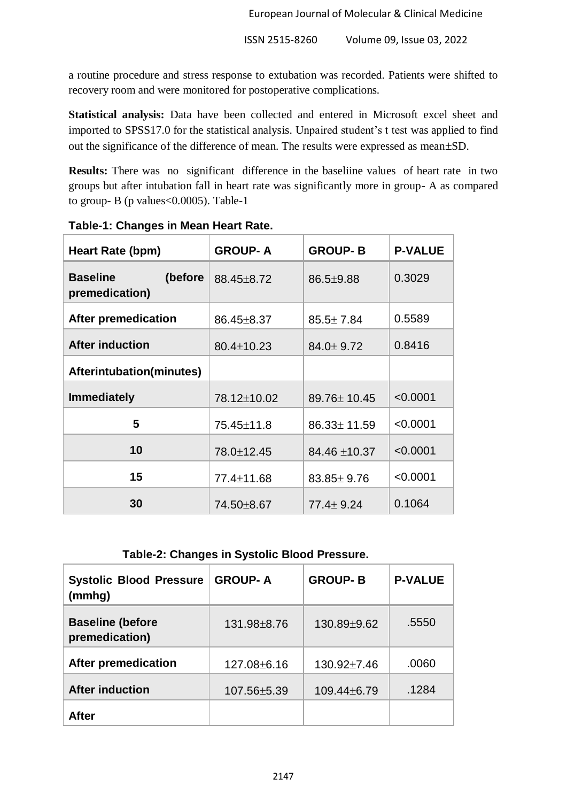a routine procedure and stress response to extubation was recorded. Patients were shifted to recovery room and were monitored for postoperative complications.

**Statistical analysis:** Data have been collected and entered in Microsoft excel sheet and imported to SPSS17.0 for the statistical analysis. Unpaired student's t test was applied to find out the significance of the difference of mean. The results were expressed as mean $\pm SD$ .

**Results:** There was no significant difference in the baseliine values of heart rate in two groups but after intubation fall in heart rate was significantly more in group- A as compared to group- B (p values<0.0005). Table-1

| Heart Rate (bpm)                             | <b>GROUP-A</b> | <b>GROUP-B</b>    | <b>P-VALUE</b> |
|----------------------------------------------|----------------|-------------------|----------------|
| <b>Baseline</b><br>(before<br>premedication) | 88.45 ± 8.72   | $86.5 \pm 9.88$   | 0.3029         |
| <b>After premedication</b>                   | 86.45±8.37     | $85.5 \pm 7.84$   | 0.5589         |
| <b>After induction</b>                       | 80.4±10.23     | $84.0 \pm 9.72$   | 0.8416         |
| <b>Afterintubation(minutes)</b>              |                |                   |                |
| <b>Immediately</b>                           | 78.12±10.02    | 89.76±10.45       | < 0.0001       |
| 5                                            | 75.45±11.8     | $86.33 \pm 11.59$ | < 0.0001       |
| 10                                           | 78.0±12.45     | 84.46 ±10.37      | < 0.0001       |
| 15                                           | 77.4±11.68     | $83.85 \pm 9.76$  | < 0.0001       |
| 30                                           | 74.50±8.67     | $77.4 \pm 9.24$   | 0.1064         |

**Table-1: Changes in Mean Heart Rate.**

# **Table-2: Changes in Systolic Blood Pressure.**

| <b>Systolic Blood Pressure</b><br>(mmhg)  | <b>GROUP-A</b> | <b>GROUP-B</b>    | <b>P-VALUE</b> |
|-------------------------------------------|----------------|-------------------|----------------|
| <b>Baseline (before</b><br>premedication) | 131.98±8.76    | 130.89±9.62       | .5550          |
| <b>After premedication</b>                | 127.08±6.16    | $130.92 \pm 7.46$ | .0060          |
| <b>After induction</b>                    | 107.56±5.39    | $109.44 \pm 6.79$ | .1284          |
| After                                     |                |                   |                |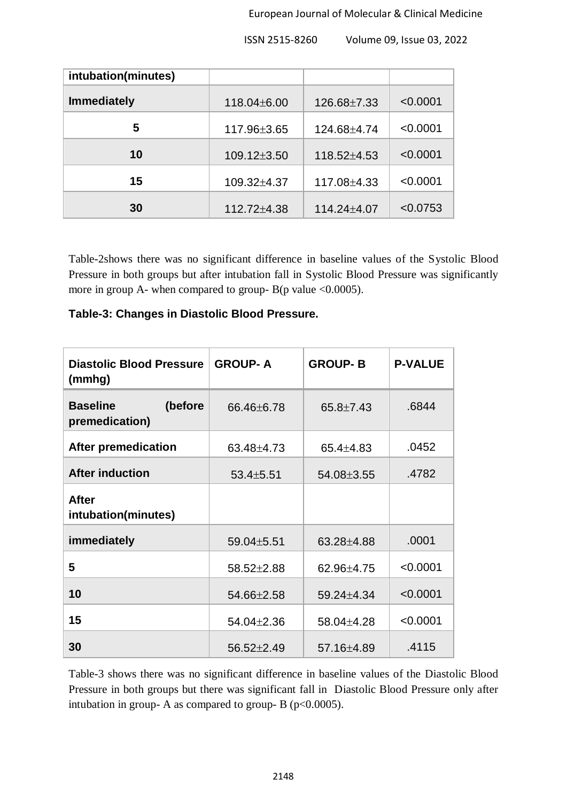| intubation(minutes) |             |                   |          |
|---------------------|-------------|-------------------|----------|
| <b>Immediately</b>  | 118.04±6.00 | 126.68±7.33       | < 0.0001 |
| 5                   | 117.96±3.65 | 124.68±4.74       | < 0.0001 |
| 10                  | 109.12±3.50 | $118.52 \pm 4.53$ | < 0.0001 |
| 15                  | 109.32±4.37 | 117.08±4.33       | < 0.0001 |
| 30                  | 112.72±4.38 | 114.24±4.07       | < 0.0753 |

Table-2shows there was no significant difference in baseline values of the Systolic Blood Pressure in both groups but after intubation fall in Systolic Blood Pressure was significantly more in group A- when compared to group-  $B(p \text{ value} < 0.0005)$ .

**Table-3: Changes in Diastolic Blood Pressure.**

| <b>Diastolic Blood Pressure</b><br>(mmhg)    | <b>GROUP-A</b>   | <b>GROUP-B</b>  | <b>P-VALUE</b> |
|----------------------------------------------|------------------|-----------------|----------------|
| <b>Baseline</b><br>(before<br>premedication) | 66.46±6.78       | 65.8±7.43       | .6844          |
| <b>After premedication</b>                   | 63.48±4.73       | $65.4 \pm 4.83$ | .0452          |
| <b>After induction</b>                       | $53.4 \pm 5.51$  | 54.08±3.55      | .4782          |
| <b>After</b><br>intubation(minutes)          |                  |                 |                |
| immediately                                  | 59.04±5.51       | 63.28±4.88      | .0001          |
| 5                                            | 58.52±2.88       | 62.96±4.75      | < 0.0001       |
| 10                                           | 54.66±2.58       | 59.24±4.34      | < 0.0001       |
| 15                                           | 54.04±2.36       | 58.04±4.28      | < 0.0001       |
| 30                                           | $56.52 \pm 2.49$ | 57.16±4.89      | .4115          |

Table-3 shows there was no significant difference in baseline values of the Diastolic Blood Pressure in both groups but there was significant fall in Diastolic Blood Pressure only after intubation in group- A as compared to group- B ( $p<0.0005$ ).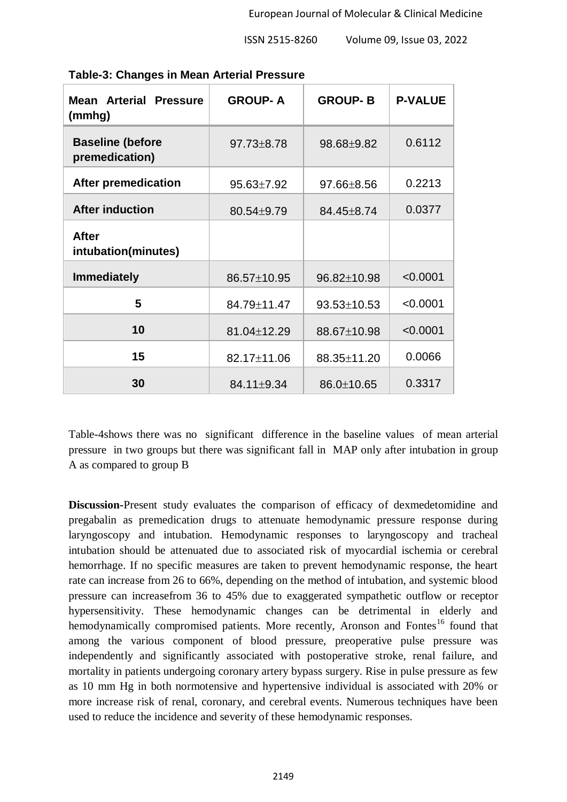| <b>Mean Arterial Pressure</b><br>(mmhg)   | <b>GROUP-A</b>   | <b>GROUP-B</b>   | <b>P-VALUE</b> |
|-------------------------------------------|------------------|------------------|----------------|
| <b>Baseline (before</b><br>premedication) | $97.73 \pm 8.78$ | 98.68±9.82       | 0.6112         |
| <b>After premedication</b>                | 95.63±7.92       | $97.66 \pm 8.56$ | 0.2213         |
| <b>After induction</b>                    | 80.54±9.79       | 84.45±8.74       | 0.0377         |
| <b>After</b><br>intubation(minutes)       |                  |                  |                |
| <b>Immediately</b>                        | 86.57±10.95      | 96.82±10.98      | < 0.0001       |
| 5                                         | 84.79±11.47      | 93.53±10.53      | < 0.0001       |
| 10                                        | 81.04±12.29      | 88.67±10.98      | < 0.0001       |
| 15                                        | 82.17±11.06      | 88.35±11.20      | 0.0066         |
| 30                                        | 84.11±9.34       | 86.0±10.65       | 0.3317         |

**Table-3: Changes in Mean Arterial Pressure**

Table-4shows there was no significant difference in the baseline values of mean arterial pressure in two groups but there was significant fall in MAP only after intubation in group A as compared to group B

**Discussion-**Present study evaluates the comparison of efficacy of dexmedetomidine and pregabalin as premedication drugs to attenuate hemodynamic pressure response during laryngoscopy and intubation. Hemodynamic responses to laryngoscopy and tracheal intubation should be attenuated due to associated risk of myocardial ischemia or cerebral hemorrhage. If no specific measures are taken to prevent hemodynamic response, the heart rate can increase from 26 to 66%, depending on the method of intubation, and systemic blood pressure can increasefrom 36 to 45% due to exaggerated sympathetic outflow or receptor hypersensitivity. These hemodynamic changes can be detrimental in elderly and hemodynamically compromised patients. More recently, Aronson and Fontes<sup>16</sup> found that among the various component of blood pressure, preoperative pulse pressure was independently and significantly associated with postoperative stroke, renal failure, and mortality in patients undergoing coronary artery bypass surgery. Rise in pulse pressure as few as 10 mm Hg in both normotensive and hypertensive individual is associated with 20% or more increase risk of renal, coronary, and cerebral events. Numerous techniques have been used to reduce the incidence and severity of these hemodynamic responses.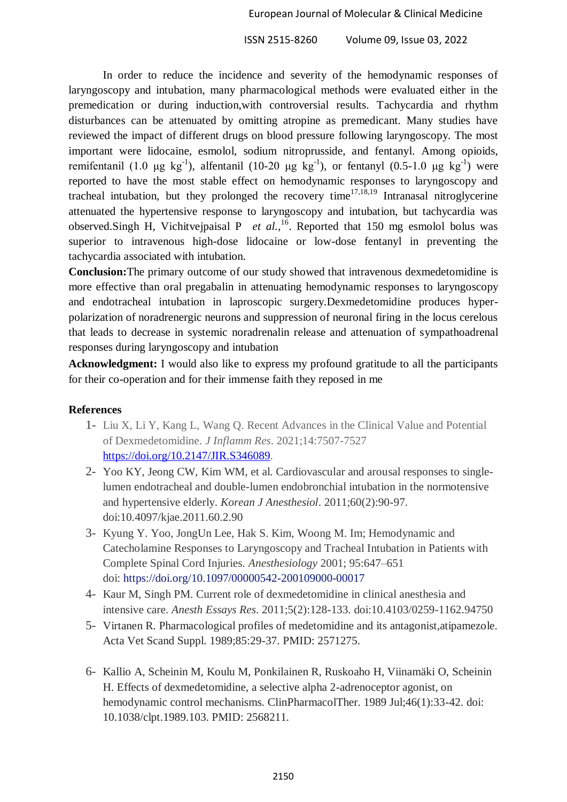In order to reduce the incidence and severity of the hemodynamic responses of laryngoscopy and intubation, many pharmacological methods were evaluated either in the premedication or during induction,with controversial results. Tachycardia and rhythm disturbances can be attenuated by omitting atropine as premedicant. Many studies have reviewed the impact of different drugs on blood pressure following laryngoscopy. The most important were lidocaine, esmolol, sodium nitroprusside, and fentanyl. Among opioids, remifentanil (1.0 μg kg<sup>-1</sup>), alfentanil (10-20 μg kg<sup>-1</sup>), or fentanyl (0.5-1.0 μg kg<sup>-1</sup>) were reported to have the most stable effect on hemodynamic responses to laryngoscopy and tracheal intubation, but they prolonged the recovery time $17,18,19$  Intranasal nitroglycerine attenuated the hypertensive response to laryngoscopy and intubation, but tachycardia was observed.Singh H, Vichitvejpaisal P *et al.,*<sup>16</sup>. Reported that 150 mg esmolol bolus was superior to intravenous high-dose lidocaine or low-dose fentanyl in preventing the tachycardia associated with intubation.

**Conclusion:**The primary outcome of our study showed that intravenous dexmedetomidine is more effective than oral pregabalin in attenuating hemodynamic responses to laryngoscopy and endotracheal intubation in laproscopic surgery.Dexmedetomidine produces hyperpolarization of noradrenergic neurons and suppression of neuronal firing in the locus cerelous that leads to decrease in systemic noradrenalin release and attenuation of sympathoadrenal responses during laryngoscopy and intubation

**Acknowledgment:** I would also like to express my profound gratitude to all the participants for their co-operation and for their immense faith they reposed in me

## **References**

- 1- Liu X, Li Y, Kang L, Wang Q. Recent Advances in the Clinical Value and Potential of Dexmedetomidine. *J Inflamm Res*. 2021;14:7507-7527 [https://doi.org/10.2147/JIR.S346089.](https://doi.org/10.2147/JIR.S346089)
- 2- Yoo KY, Jeong CW, Kim WM, et al. Cardiovascular and arousal responses to singlelumen endotracheal and double-lumen endobronchial intubation in the normotensive and hypertensive elderly. *Korean J Anesthesiol*. 2011;60(2):90-97. doi:10.4097/kjae.2011.60.2.90
- 3- Kyung Y. Yoo, JongUn Lee, Hak S. Kim, Woong M. Im; Hemodynamic and Catecholamine Responses to Laryngoscopy and Tracheal Intubation in Patients with Complete Spinal Cord Injuries. *Anesthesiology* 2001; 95:647–651 doi: <https://doi.org/10.1097/00000542-200109000-00017>
- 4- Kaur M, Singh PM. Current role of dexmedetomidine in clinical anesthesia and intensive care. *Anesth Essays Res*. 2011;5(2):128-133. doi:10.4103/0259-1162.94750
- 5- Virtanen R. Pharmacological profiles of medetomidine and its antagonist,atipamezole. Acta Vet Scand Suppl. 1989;85:29-37. PMID: 2571275.
- 6- Kallio A, Scheinin M, Koulu M, Ponkilainen R, Ruskoaho H, Viinamäki O, Scheinin H. Effects of dexmedetomidine, a selective alpha 2-adrenoceptor agonist, on hemodynamic control mechanisms. ClinPharmacolTher. 1989 Jul;46(1):33-42. doi: 10.1038/clpt.1989.103. PMID: 2568211.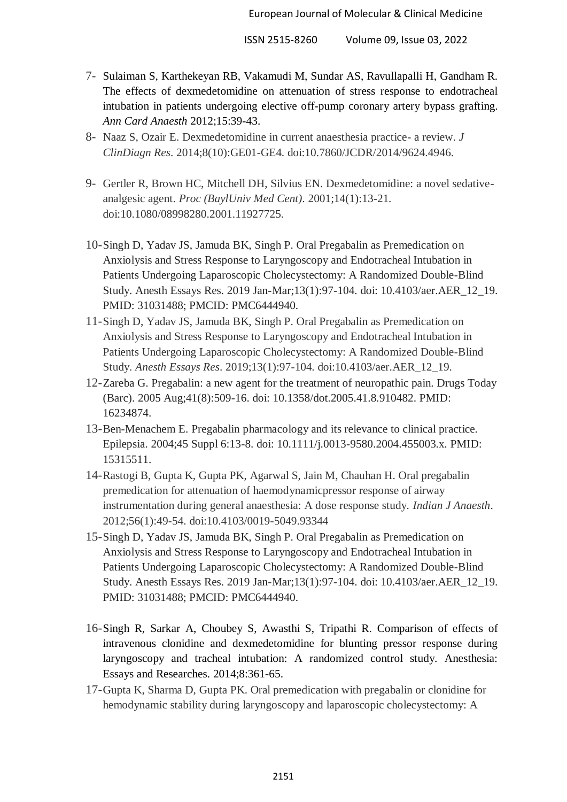- 7- Sulaiman S, Karthekeyan RB, Vakamudi M, Sundar AS, Ravullapalli H, Gandham R. The effects of dexmedetomidine on attenuation of stress response to endotracheal intubation in patients undergoing elective off-pump coronary artery bypass grafting. *Ann Card Anaesth* 2012;15:39-43.
- 8- Naaz S, Ozair E. Dexmedetomidine in current anaesthesia practice- a review. *J ClinDiagn Res*. 2014;8(10):GE01-GE4. doi:10.7860/JCDR/2014/9624.4946.
- 9- Gertler R, Brown HC, Mitchell DH, Silvius EN. Dexmedetomidine: a novel sedativeanalgesic agent. *Proc (BaylUniv Med Cent)*. 2001;14(1):13-21. doi:10.1080/08998280.2001.11927725.
- 10-Singh D, Yadav JS, Jamuda BK, Singh P. Oral Pregabalin as Premedication on Anxiolysis and Stress Response to Laryngoscopy and Endotracheal Intubation in Patients Undergoing Laparoscopic Cholecystectomy: A Randomized Double-Blind Study. Anesth Essays Res. 2019 Jan-Mar;13(1):97-104. doi: 10.4103/aer.AER\_12\_19. PMID: 31031488; PMCID: PMC6444940.
- 11-Singh D, Yadav JS, Jamuda BK, Singh P. Oral Pregabalin as Premedication on Anxiolysis and Stress Response to Laryngoscopy and Endotracheal Intubation in Patients Undergoing Laparoscopic Cholecystectomy: A Randomized Double-Blind Study. *Anesth Essays Res*. 2019;13(1):97-104. doi:10.4103/aer.AER\_12\_19.
- 12-Zareba G. Pregabalin: a new agent for the treatment of neuropathic pain. Drugs Today (Barc). 2005 Aug;41(8):509-16. doi: 10.1358/dot.2005.41.8.910482. PMID: 16234874.
- 13-Ben-Menachem E. Pregabalin pharmacology and its relevance to clinical practice. Epilepsia. 2004;45 Suppl 6:13-8. doi: 10.1111/j.0013-9580.2004.455003.x. PMID: 15315511.
- 14-Rastogi B, Gupta K, Gupta PK, Agarwal S, Jain M, Chauhan H. Oral pregabalin premedication for attenuation of haemodynamicpressor response of airway instrumentation during general anaesthesia: A dose response study. *Indian J Anaesth*. 2012;56(1):49-54. doi:10.4103/0019-5049.93344
- 15-Singh D, Yadav JS, Jamuda BK, Singh P. Oral Pregabalin as Premedication on Anxiolysis and Stress Response to Laryngoscopy and Endotracheal Intubation in Patients Undergoing Laparoscopic Cholecystectomy: A Randomized Double-Blind Study. Anesth Essays Res. 2019 Jan-Mar;13(1):97-104. doi: 10.4103/aer.AER\_12\_19. PMID: 31031488; PMCID: PMC6444940.
- 16-Singh R, Sarkar A, Choubey S, Awasthi S, Tripathi R. Comparison of effects of intravenous clonidine and dexmedetomidine for blunting pressor response during laryngoscopy and tracheal intubation: A randomized control study. Anesthesia: Essays and Researches. 2014;8:361-65.
- 17-Gupta K, Sharma D, Gupta PK. Oral premedication with pregabalin or clonidine for hemodynamic stability during laryngoscopy and laparoscopic cholecystectomy: A